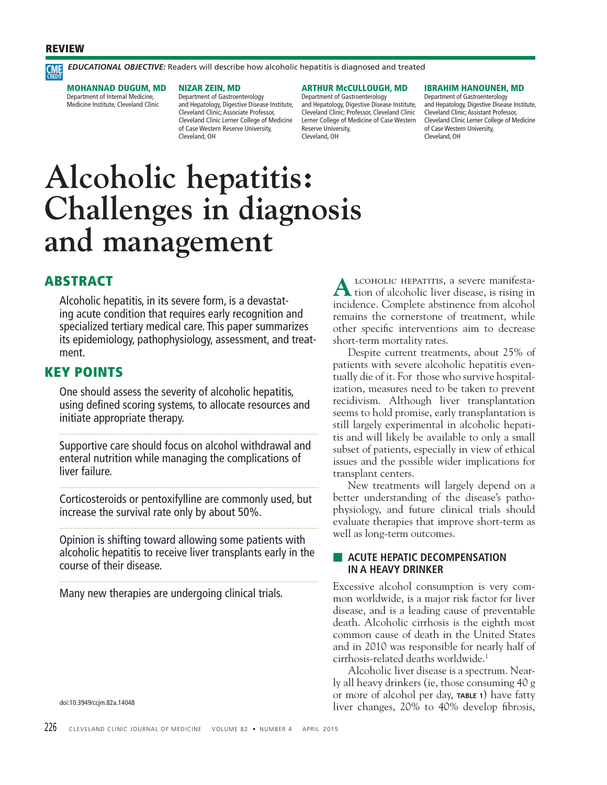# **REVIEW**

*EDUCATIONAL OBJECTIVE:* Readers will describe how alcoholic hepatitis is diagnosed and treated **CME** 

**MOHANNAD DUGUM, MD** Department of Internal Medicine, Medicine Institute, Cleveland Clinic

# **NIZAR ZEIN, MD**

Department of Gastroenterology and Hepatology, Digestive Disease Institute, Cleveland Clinic; Associate Professor, Cleveland Clinic Lerner College of Medicine of Case Western Reserve University, Cleveland, OH

#### **ARTHUR McCULLOUGH, MD**

Department of Gastroenterology and Hepatology, Digestive Disease Institute, Cleveland Clinic; Professor, Cleveland Clinic Lerner College of Medicine of Case Western Reserve University, Cleveland, OH

#### **IBRAHIM HANOUNEH, MD**

Department of Gastroenterology and Hepatology, Digestive Disease Institute, Cleveland Clinic; Assistant Professor, Cleveland Clinic Lerner College of Medicine of Case Western University, Cleveland, OH

# **Alcoholic hepatitis: Challenges in diagnosis and management**

# **ABSTRACT**

Alcoholic hepatitis, in its severe form, is a devastating acute condition that requires early recognition and specialized tertiary medical care. This paper summarizes its epidemiology, pathophysiology, assessment, and treatment.

# **KEY POINTS**

One should assess the severity of alcoholic hepatitis, using defined scoring systems, to allocate resources and initiate appropriate therapy.

Supportive care should focus on alcohol withdrawal and enteral nutrition while managing the complications of liver failure.

Corticosteroids or pentoxifylline are commonly used, but increase the survival rate only by about 50%.

Opinion is shifting toward allowing some patients with alcoholic hepatitis to receive liver transplants early in the course of their disease.

Many new therapies are undergoing clinical trials.

doi:10.3949/ccjm.82a.14048

LCOHOLIC HEPATITIS, a severe manifestation of alcoholic liver disease, is rising in incidence. Complete abstinence from alcohol remains the cornerstone of treatment, while other specific interventions aim to decrease short-term mortality rates.

 Despite current treatments, about 25% of patients with severe alcoholic hepatitis eventually die of it. For those who survive hospitalization, measures need to be taken to prevent recidivism. Although liver transplantation seems to hold promise, early transplantation is still largely experimental in alcoholic hepatitis and will likely be available to only a small subset of patients, especially in view of ethical issues and the possible wider implications for transplant centers.

 New treatments will largely depend on a better understanding of the disease's pathophysiology, and future clinical trials should evaluate therapies that improve short-term as well as long-term outcomes.

# **EXECUTE HEPATIC DECOMPENSATION IN A HEAVY DRINKER**

Excessive alcohol consumption is very common worldwide, is a major risk factor for liver disease, and is a leading cause of preventable death. Alcoholic cirrhosis is the eighth most common cause of death in the United States and in 2010 was responsible for nearly half of cirrhosis-related deaths worldwide.1

 Alcoholic liver disease is a spectrum. Nearly all heavy drinkers (ie, those consuming 40 g or more of alcohol per day, **TABLE 1**) have fatty liver changes, 20% to 40% develop fibrosis,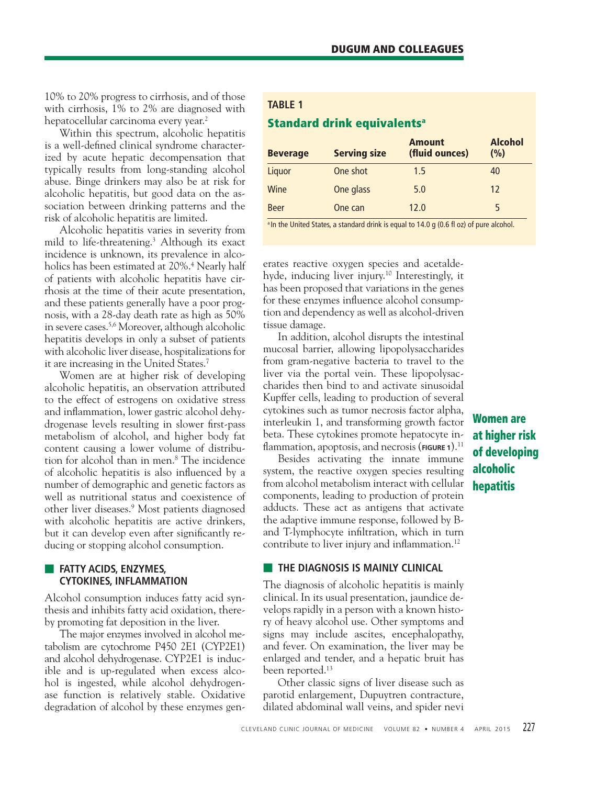10% to 20% progress to cirrhosis, and of those with cirrhosis, 1% to 2% are diagnosed with hepatocellular carcinoma every year.<sup>2</sup>

 Within this spectrum, alcoholic hepatitis is a well-defined clinical syndrome characterized by acute hepatic decompensation that typically results from long-standing alcohol abuse. Binge drinkers may also be at risk for alcoholic hepatitis, but good data on the association between drinking patterns and the risk of alcoholic hepatitis are limited.

 Alcoholic hepatitis varies in severity from mild to life-threatening.3 Although its exact incidence is unknown, its prevalence in alcoholics has been estimated at 20%.4 Nearly half of patients with alcoholic hepatitis have cirrhosis at the time of their acute presentation, and these patients generally have a poor prognosis, with a 28-day death rate as high as 50% in severe cases.5,6 Moreover, although alcoholic hepatitis develops in only a subset of patients with alcoholic liver disease, hospitalizations for it are increasing in the United States.7

 Women are at higher risk of developing alcoholic hepatitis, an observation attributed to the effect of estrogens on oxidative stress and inflammation, lower gastric alcohol dehydrogenase levels resulting in slower first-pass metabolism of alcohol, and higher body fat content causing a lower volume of distribution for alcohol than in men.8 The incidence of alcoholic hepatitis is also influenced by a number of demographic and genetic factors as well as nutritional status and coexistence of other liver diseases.9 Most patients diagnosed with alcoholic hepatitis are active drinkers, but it can develop even after significantly reducing or stopping alcohol consumption.

# ■ **FATTY ACIDS, ENZYMES, CYTOKINES, INFLAMMATION**

Alcohol consumption induces fatty acid synthesis and inhibits fatty acid oxidation, thereby promoting fat deposition in the liver.

 The major enzymes involved in alcohol metabolism are cytochrome P450 2E1 (CYP2E1) and alcohol dehydrogenase. CYP2E1 is inducible and is up-regulated when excess alcohol is ingested, while alcohol dehydrogenase function is relatively stable. Oxidative degradation of alcohol by these enzymes gen-

# **TABLE 1 Standard drink equivalentsa**

| <b>Beverage</b> | <b>Serving size</b> | <b>Amount</b><br>(fluid ounces) | Alcohol<br>(%) |
|-----------------|---------------------|---------------------------------|----------------|
| Liquor          | One shot            | 1.5                             | 40             |
| Wine            | One glass           | 5.0                             | 12             |
| <b>Beer</b>     | One can             | 120                             | 5              |

<sup>a</sup> In the United States, a standard drink is equal to 14.0 g (0.6 fl oz) of pure alcohol.

erates reactive oxygen species and acetaldehyde, inducing liver injury.10 Interestingly, it has been proposed that variations in the genes for these enzymes influence alcohol consumption and dependency as well as alcohol-driven tissue damage.

 In addition, alcohol disrupts the intestinal mucosal barrier, allowing lipopolysaccharides from gram-negative bacteria to travel to the liver via the portal vein. These lipopolysaccharides then bind to and activate sinusoidal Kupffer cells, leading to production of several cytokines such as tumor necrosis factor alpha, interleukin 1, and transforming growth factor beta. These cytokines promote hepatocyte inflammation, apoptosis, and necrosis (FIGURE 1).<sup>11</sup>

 Besides activating the innate immune system, the reactive oxygen species resulting from alcohol metabolism interact with cellular components, leading to production of protein adducts. These act as antigens that activate the adaptive immune response, followed by Band T-lymphocyte infiltration, which in turn contribute to liver injury and inflammation.<sup>12</sup>

# **THE DIAGNOSIS IS MAINLY CLINICAL**

The diagnosis of alcoholic hepatitis is mainly clinical. In its usual presentation, jaundice develops rapidly in a person with a known history of heavy alcohol use. Other symptoms and signs may include ascites, encephalopathy, and fever. On examination, the liver may be enlarged and tender, and a hepatic bruit has been reported.<sup>13</sup>

 Other classic signs of liver disease such as parotid enlargement, Dupuytren contracture, dilated abdominal wall veins, and spider nevi

# **Women are at higher risk of developing alcoholic hepatitis**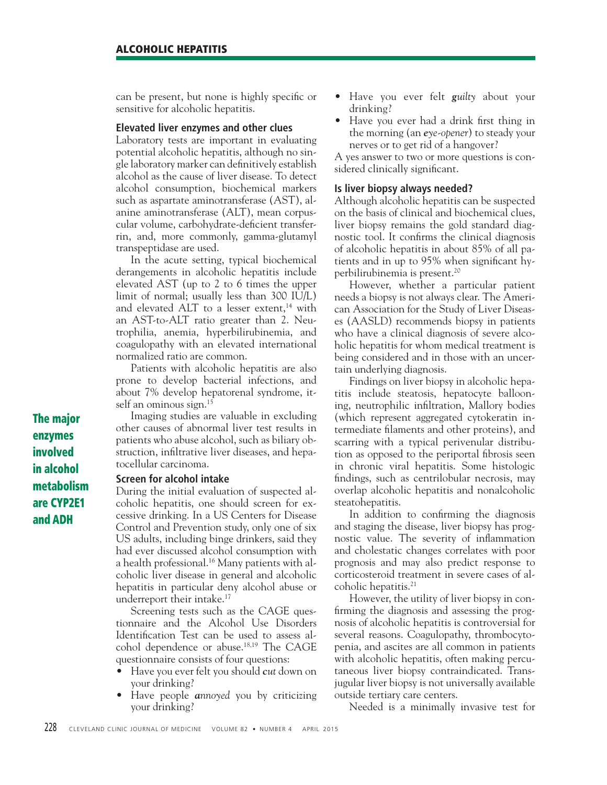can be present, but none is highly specific or sensitive for alcoholic hepatitis.

# **Elevated liver enzymes and other clues**

Laboratory tests are important in evaluating potential alcoholic hepatitis, although no single laboratory marker can definitively establish alcohol as the cause of liver disease. To detect alcohol consumption, biochemical markers such as aspartate aminotransferase (AST), alanine aminotransferase (ALT), mean corpuscular volume, carbohydrate-deficient transferrin, and, more commonly, gamma-glutamyl transpeptidase are used.

 In the acute setting, typical biochemical derangements in alcoholic hepatitis include elevated AST (up to 2 to 6 times the upper limit of normal; usually less than 300 IU/L) and elevated ALT to a lesser extent,<sup>14</sup> with an AST-to-ALT ratio greater than 2. Neutrophilia, anemia, hyperbilirubinemia, and coagulopathy with an elevated international normalized ratio are common.

 Patients with alcoholic hepatitis are also prone to develop bacterial infections, and about 7% develop hepatorenal syndrome, itself an ominous sign.<sup>15</sup>

 Imaging studies are valuable in excluding other causes of abnormal liver test results in patients who abuse alcohol, such as biliary obstruction, infiltrative liver diseases, and hepatocellular carcinoma.

# **Screen for alcohol intake**

During the initial evaluation of suspected alcoholic hepatitis, one should screen for excessive drinking. In a US Centers for Disease Control and Prevention study, only one of six US adults, including binge drinkers, said they had ever discussed alcohol consumption with a health professional.16 Many patients with alcoholic liver disease in general and alcoholic hepatitis in particular deny alcohol abuse or underreport their intake.17

 Screening tests such as the CAGE questionnaire and the Alcohol Use Disorders Identification Test can be used to assess alcohol dependence or abuse.18,19 The CAGE questionnaire consists of four questions:

- Have you ever felt you should *cut* down on your drinking?
- Have people *annoyed* you by criticizing your drinking?
- Have you ever felt *guilty* about your drinking?
- Have you ever had a drink first thing in the morning (an *eye-opener*) to steady your nerves or to get rid of a hangover?

A yes answer to two or more questions is considered clinically significant.

# **Is liver biopsy always needed?**

Although alcoholic hepatitis can be suspected on the basis of clinical and biochemical clues, liver biopsy remains the gold standard diagnostic tool. It confirms the clinical diagnosis of alcoholic hepatitis in about 85% of all patients and in up to  $95\%$  when significant hyperbilirubinemia is present.20

 However, whether a particular patient needs a biopsy is not always clear. The American Association for the Study of Liver Diseases (AASLD) recommends biopsy in patients who have a clinical diagnosis of severe alcoholic hepatitis for whom medical treatment is being considered and in those with an uncertain underlying diagnosis.

 Findings on liver biopsy in alcoholic hepatitis include steatosis, hepatocyte ballooning, neutrophilic infiltration, Mallory bodies (which represent aggregated cytokeratin intermediate filaments and other proteins), and scarring with a typical perivenular distribution as opposed to the periportal fibrosis seen in chronic viral hepatitis. Some histologic findings, such as centrilobular necrosis, may overlap alcoholic hepatitis and nonalcoholic steatohepatitis.

In addition to confirming the diagnosis and staging the disease, liver biopsy has prognostic value. The severity of inflammation and cholestatic changes correlates with poor prognosis and may also predict response to corticosteroid treatment in severe cases of alcoholic hepatitis.21

 However, the utility of liver biopsy in confirming the diagnosis and assessing the prognosis of alcoholic hepatitis is controversial for several reasons. Coagulopathy, thrombocytopenia, and ascites are all common in patients with alcoholic hepatitis, often making percutaneous liver biopsy contraindicated. Transjugular liver biopsy is not universally available outside tertiary care centers.

Needed is a minimally invasive test for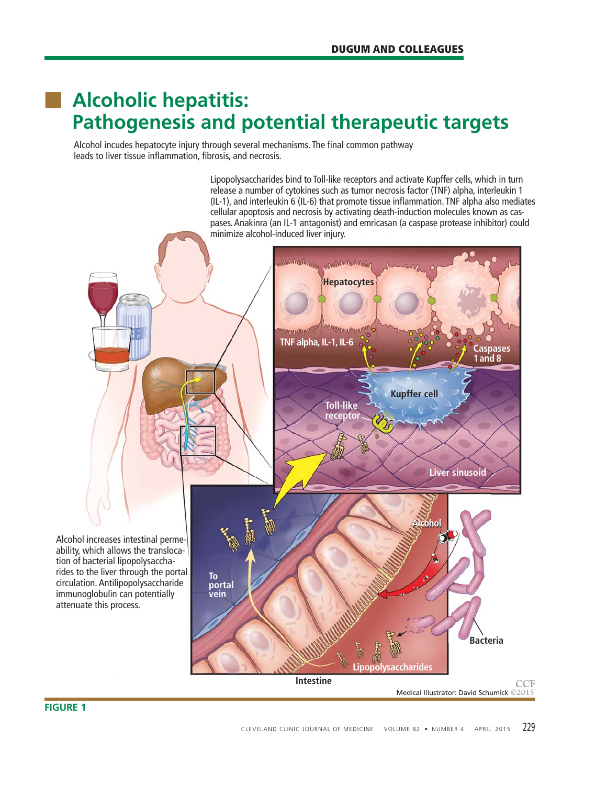# ■ **Alcoholic hepatitis: Pathogenesis and potential therapeutic targets**

Alcohol incudes hepatocyte injury through several mechanisms. The final common pathway leads to liver tissue inflammation, fibrosis, and necrosis.

> Lipopolysaccharides bind to Toll-like receptors and activate Kupffer cells, which in turn release a number of cytokines such as tumor necrosis factor (TNF) alpha, interleukin 1  $(II-1)$ , and interleukin 6 (IL-6) that promote tissue inflammation. TNF alpha also mediates cellular apoptosis and necrosis by activating death-induction molecules known as caspases. Anakinra (an IL-1 antagonist) and emricasan (a caspase protease inhibitor) could minimize alcohol-induced liver injury.



# **FIGURE 1**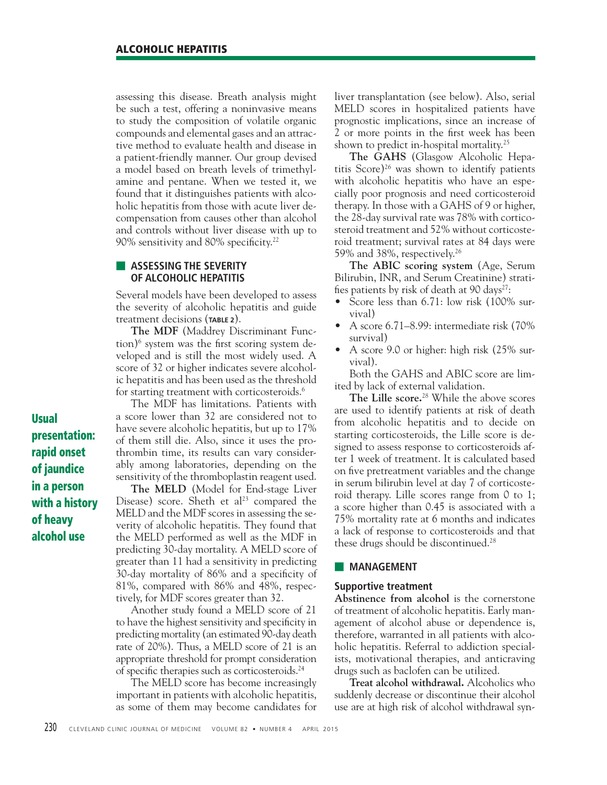assessing this disease. Breath analysis might be such a test, offering a noninvasive means to study the composition of volatile organic compounds and elemental gases and an attractive method to evaluate health and disease in a patient-friendly manner. Our group devised a model based on breath levels of trimethylamine and pentane. When we tested it, we found that it distinguishes patients with alcoholic hepatitis from those with acute liver decompensation from causes other than alcohol and controls without liver disease with up to 90% sensitivity and 80% specificity.<sup>22</sup>

# ■ **ASSESSING THE SEVERITY OF ALCOHOLIC HEPATITIS**

Several models have been developed to assess the severity of alcoholic hepatitis and guide treatment decisions (**TABLE 2**).

**The MDF** (Maddrey Discriminant Function)<sup>6</sup> system was the first scoring system developed and is still the most widely used. A score of 32 or higher indicates severe alcoholic hepatitis and has been used as the threshold for starting treatment with corticosteroids.<sup>6</sup>

 The MDF has limitations. Patients with a score lower than 32 are considered not to have severe alcoholic hepatitis, but up to 17% of them still die. Also, since it uses the prothrombin time, its results can vary considerably among laboratories, depending on the sensitivity of the thromboplastin reagent used.

**The MELD** (Model for End-stage Liver Disease) score. Sheth et al<sup>23</sup> compared the MELD and the MDF scores in assessing the severity of alcoholic hepatitis. They found that the MELD performed as well as the MDF in predicting 30-day mortality. A MELD score of greater than 11 had a sensitivity in predicting 30-day mortality of 86% and a specificity of 81%, compared with 86% and 48%, respectively, for MDF scores greater than 32.

 Another study found a MELD score of 21 to have the highest sensitivity and specificity in predicting mortality (an estimated 90-day death rate of 20%). Thus, a MELD score of 21 is an appropriate threshold for prompt consideration of specific therapies such as corticosteroids.<sup>24</sup>

 The MELD score has become increasingly important in patients with alcoholic hepatitis, as some of them may become candidates for liver transplantation (see below). Also, serial MELD scores in hospitalized patients have prognostic implications, since an increase of 2 or more points in the first week has been shown to predict in-hospital mortality.<sup>25</sup>

**The GAHS** (Glasgow Alcoholic Hepatitis Score) $26$  was shown to identify patients with alcoholic hepatitis who have an especially poor prognosis and need corticosteroid therapy. In those with a GAHS of 9 or higher, the 28-day survival rate was 78% with corticosteroid treatment and 52% without corticosteroid treatment; survival rates at 84 days were 59% and 38%, respectively.26

**The ABIC scoring system** (Age, Serum Bilirubin, INR, and Serum Creatinine) stratifies patients by risk of death at 90 days<sup>27</sup>:

- Score less than 6.71: low risk (100% survival)
- A score 6.71–8.99: intermediate risk (70% survival)
- A score 9.0 or higher: high risk (25% survival).

 Both the GAHS and ABIC score are limited by lack of external validation.

**The Lille score.**28 While the above scores are used to identify patients at risk of death from alcoholic hepatitis and to decide on starting corticosteroids, the Lille score is designed to assess response to corticosteroids after 1 week of treatment. It is calculated based on five pretreatment variables and the change in serum bilirubin level at day 7 of corticosteroid therapy. Lille scores range from 0 to 1; a score higher than 0.45 is associated with a 75% mortality rate at 6 months and indicates a lack of response to corticosteroids and that these drugs should be discontinued.28

# ■ **MANAGEMENT**

# **Supportive treatment**

**Abstinence from alcohol** is the cornerstone of treatment of alcoholic hepatitis. Early management of alcohol abuse or dependence is, therefore, warranted in all patients with alcoholic hepatitis. Referral to addiction specialists, motivational therapies, and anticraving drugs such as baclofen can be utilized.

**Treat alcohol withdrawal.** Alcoholics who suddenly decrease or discontinue their alcohol use are at high risk of alcohol withdrawal syn-

**Usual presentation: rapid onset of jaundice in a person with a history of heavy alcohol use**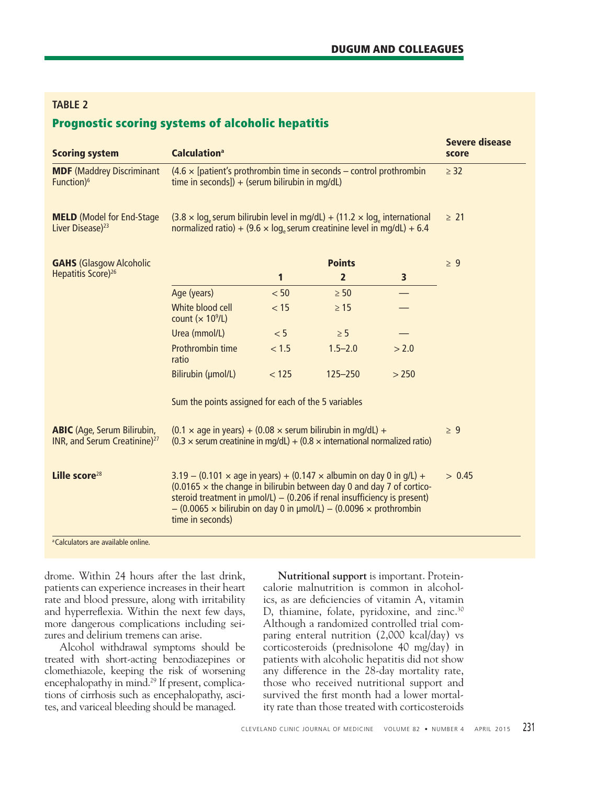# **TABLE 2**

# **Prognostic scoring systems of alcoholic hepatitis**

| <b>Scoring system</b>                                                          | <b>Calculation</b> <sup>a</sup>                                                                                                                                                                                                                                                                                                                               |           |                |       | <b>Severe disease</b><br>score |
|--------------------------------------------------------------------------------|---------------------------------------------------------------------------------------------------------------------------------------------------------------------------------------------------------------------------------------------------------------------------------------------------------------------------------------------------------------|-----------|----------------|-------|--------------------------------|
| <b>MDF</b> (Maddrey Discriminant<br>Function) <sup>6</sup>                     | $(4.6 \times$ [patient's prothrombin time in seconds – control prothrombin<br>time in seconds]) + (serum bilirubin in mq/dL)                                                                                                                                                                                                                                  | $\geq$ 32 |                |       |                                |
| <b>MELD</b> (Model for End-Stage<br>Liver Disease) <sup>23</sup>               | $(3.8 \times \log_e \text{serum bilirubin level in mg/dL}) + (11.2 \times \log_e \text{international})$<br>normalized ratio) + $(9.6 \times \log_e \text{serum creationine level in mg/dL}) + 6.4$                                                                                                                                                            | $\geq 21$ |                |       |                                |
| <b>GAHS</b> (Glasgow Alcoholic<br>Hepatitis Score) <sup>26</sup>               | <b>Points</b>                                                                                                                                                                                                                                                                                                                                                 |           |                |       | $\geq 9$                       |
|                                                                                |                                                                                                                                                                                                                                                                                                                                                               | 1         | $\overline{2}$ | 3     |                                |
|                                                                                | Age (years)                                                                                                                                                                                                                                                                                                                                                   | < 50      | $\geq 50$      |       |                                |
|                                                                                | White blood cell<br>count ( $\times$ 10 <sup>9</sup> /L)                                                                                                                                                                                                                                                                                                      | < 15      | $\geq 15$      |       |                                |
|                                                                                | Urea (mmol/L)                                                                                                                                                                                                                                                                                                                                                 | < 5       | $\geq 5$       |       |                                |
|                                                                                | Prothrombin time<br>ratio                                                                                                                                                                                                                                                                                                                                     | < 1.5     | $1.5 - 2.0$    | > 2.0 |                                |
|                                                                                | Bilirubin (µmol/L)                                                                                                                                                                                                                                                                                                                                            | < 125     | $125 - 250$    | > 250 |                                |
|                                                                                | Sum the points assigned for each of the 5 variables                                                                                                                                                                                                                                                                                                           |           |                |       |                                |
| <b>ABIC</b> (Age, Serum Bilirubin,<br>INR, and Serum Creatinine) <sup>27</sup> | $(0.1 \times$ age in years) + $(0.08 \times$ serum bilirubin in mq/dL) +<br>$(0.3 \times$ serum creatinine in mg/dL) + $(0.8 \times$ international normalized ratio)                                                                                                                                                                                          | $\geq 9$  |                |       |                                |
| Lille score <sup>28</sup>                                                      | 3.19 – (0.101 $\times$ age in years) + (0.147 $\times$ albumin on day 0 in g/L) +<br>$(0.0165 \times$ the change in bilirubin between day 0 and day 7 of cortico-<br>steroid treatment in $\mu$ mol/L) - (0.206 if renal insufficiency is present)<br>$-$ (0.0065 $\times$ bilirubin on day 0 in µmol/L) $-$ (0.0096 $\times$ prothrombin<br>time in seconds) | > 0.45    |                |       |                                |
| <sup>a</sup> Calculators are available online.                                 |                                                                                                                                                                                                                                                                                                                                                               |           |                |       |                                |

drome. Within 24 hours after the last drink, patients can experience increases in their heart rate and blood pressure, along with irritability and hyperreflexia. Within the next few days, more dangerous complications including seizures and delirium tremens can arise.

 Alcohol withdrawal symptoms should be treated with short-acting benzodiazepines or clomethiazole, keeping the risk of worsening encephalopathy in mind.<sup>29</sup> If present, complications of cirrhosis such as encephalopathy, ascites, and variceal bleeding should be managed.

**Nutritional support** is important. Proteincalorie malnutrition is common in alcoholics, as are deficiencies of vitamin A, vitamin D, thiamine, folate, pyridoxine, and zinc.<sup>30</sup> Although a randomized controlled trial comparing enteral nutrition (2,000 kcal/day) vs corticosteroids (prednisolone 40 mg/day) in patients with alcoholic hepatitis did not show any difference in the 28-day mortality rate, those who received nutritional support and survived the first month had a lower mortality rate than those treated with corticosteroids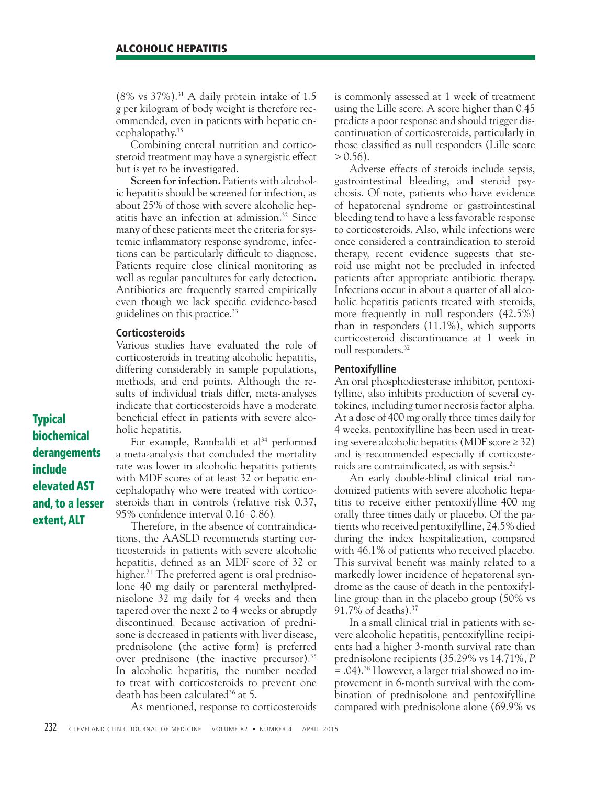$(8\% \text{ vs } 37\%).$ <sup>31</sup> A daily protein intake of 1.5 g per kilogram of body weight is therefore recommended, even in patients with hepatic encephalopathy.15

 Combining enteral nutrition and corticosteroid treatment may have a synergistic effect but is yet to be investigated.

**Screen for infection.** Patients with alcoholic hepatitis should be screened for infection, as about 25% of those with severe alcoholic hepatitis have an infection at admission.32 Since many of these patients meet the criteria for systemic inflammatory response syndrome, infections can be particularly difficult to diagnose. Patients require close clinical monitoring as well as regular pancultures for early detection. Antibiotics are frequently started empirically even though we lack specific evidence-based guidelines on this practice.33

# **Corticosteroids**

Various studies have evaluated the role of corticosteroids in treating alcoholic hepatitis, differing considerably in sample populations, methods, and end points. Although the results of individual trials differ, meta-analyses indicate that corticosteroids have a moderate beneficial effect in patients with severe alcoholic hepatitis.

For example, Rambaldi et al<sup>34</sup> performed a meta-analysis that concluded the mortality rate was lower in alcoholic hepatitis patients with MDF scores of at least 32 or hepatic encephalopathy who were treated with corticosteroids than in controls (relative risk 0.37, 95% confidence interval 0.16–0.86).

 Therefore, in the absence of contraindications, the AASLD recommends starting corticosteroids in patients with severe alcoholic hepatitis, defined as an MDF score of 32 or higher.<sup>21</sup> The preferred agent is oral prednisolone 40 mg daily or parenteral methylprednisolone 32 mg daily for 4 weeks and then tapered over the next 2 to 4 weeks or abruptly discontinued. Because activation of prednisone is decreased in patients with liver disease, prednisolone (the active form) is preferred over prednisone (the inactive precursor).35 In alcoholic hepatitis, the number needed to treat with corticosteroids to prevent one death has been calculated<sup>36</sup> at 5.

As mentioned, response to corticosteroids

is commonly assessed at 1 week of treatment using the Lille score. A score higher than 0.45 predicts a poor response and should trigger discontinuation of corticosteroids, particularly in those classified as null responders (Lille score  $> 0.56$ ).

 Adverse effects of steroids include sepsis, gastrointestinal bleeding, and steroid psychosis. Of note, patients who have evidence of hepatorenal syndrome or gastrointestinal bleeding tend to have a less favorable response to corticosteroids. Also, while infections were once considered a contraindication to steroid therapy, recent evidence suggests that steroid use might not be precluded in infected patients after appropriate antibiotic therapy. Infections occur in about a quarter of all alcoholic hepatitis patients treated with steroids, more frequently in null responders (42.5%) than in responders (11.1%), which supports corticosteroid discontinuance at 1 week in null responders.32

# **Pentoxifylline**

An oral phosphodiesterase inhibitor, pentoxifylline, also inhibits production of several cytokines, including tumor necrosis factor alpha. At a dose of 400 mg orally three times daily for 4 weeks, pentoxifylline has been used in treating severe alcoholic hepatitis (MDF score  $\geq$  32) and is recommended especially if corticosteroids are contraindicated, as with sepsis.<sup>21</sup>

 An early double-blind clinical trial randomized patients with severe alcoholic hepatitis to receive either pentoxifylline 400 mg orally three times daily or placebo. Of the patients who received pentoxifylline, 24.5% died during the index hospitalization, compared with 46.1% of patients who received placebo. This survival benefit was mainly related to a markedly lower incidence of hepatorenal syndrome as the cause of death in the pentoxifylline group than in the placebo group (50% vs 91.7% of deaths).37

 In a small clinical trial in patients with severe alcoholic hepatitis, pentoxifylline recipients had a higher 3-month survival rate than prednisolone recipients (35.29% vs 14.71%, *P* = .04).38 However, a larger trial showed no improvement in 6-month survival with the combination of prednisolone and pentoxifylline compared with prednisolone alone (69.9% vs

**Typical biochemical derangements include elevated AST and, to a lesser extent, ALT**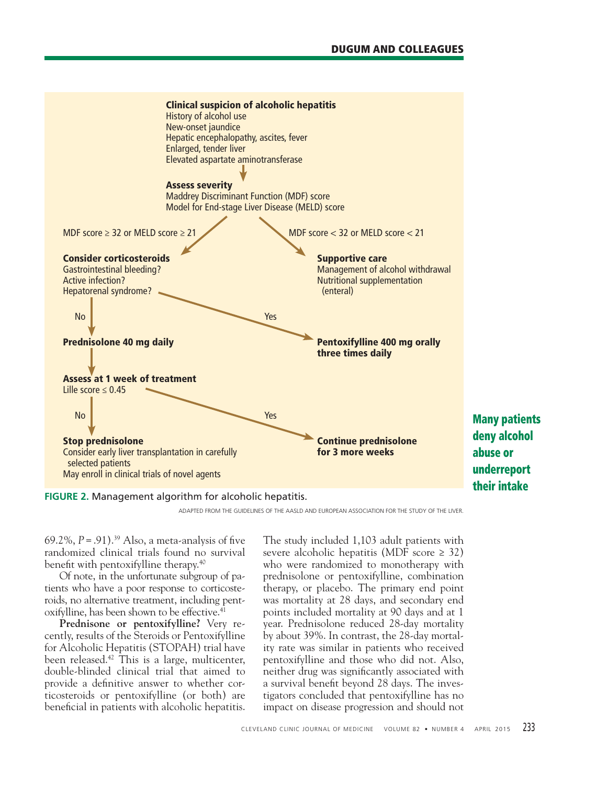

**FIGURE 2.** Management algorithm for alcoholic hepatitis.

ADAPTED FROM THE GUIDELINES OF THE AASLD AND EUROPEAN ASSOCIATION FOR THE STUDY OF THE LIVER.

69.2%,  $P = .91$ ).<sup>39</sup> Also, a meta-analysis of five randomized clinical trials found no survival benefit with pentoxifylline therapy. $40$ 

 Of note, in the unfortunate subgroup of patients who have a poor response to corticosteroids, no alternative treatment, including pentoxifylline, has been shown to be effective.<sup>41</sup>

 **Prednisone or pentoxifylline?** Very recently, results of the Steroids or Pentoxifylline for Alcoholic Hepatitis (STOPAH) trial have been released.42 This is a large, multicenter, double-blinded clinical trial that aimed to provide a definitive answer to whether corticosteroids or pentoxifylline (or both) are beneficial in patients with alcoholic hepatitis.

The study included 1,103 adult patients with severe alcoholic hepatitis (MDF score  $\geq$  32) who were randomized to monotherapy with prednisolone or pentoxifylline, combination therapy, or placebo. The primary end point was mortality at 28 days, and secondary end points included mortality at 90 days and at 1 year. Prednisolone reduced 28-day mortality by about 39%. In contrast, the 28-day mortality rate was similar in patients who received pentoxifylline and those who did not. Also, neither drug was significantly associated with a survival benefit beyond 28 days. The investigators concluded that pentoxifylline has no impact on disease progression and should not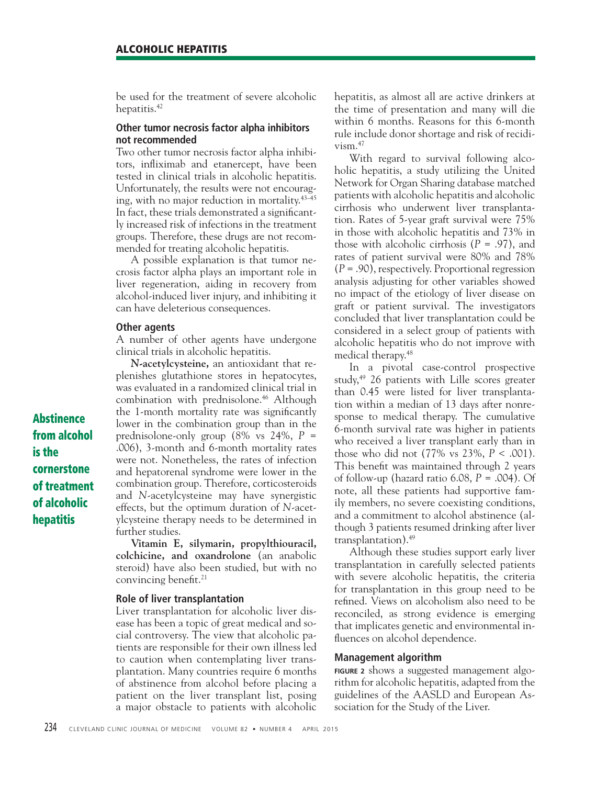be used for the treatment of severe alcoholic hepatitis.<sup>42</sup>

# **Other tumor necrosis factor alpha inhibitors not recommended**

Two other tumor necrosis factor alpha inhibitors, infliximab and etanercept, have been tested in clinical trials in alcoholic hepatitis. Unfortunately, the results were not encouraging, with no major reduction in mortality.43–45 In fact, these trials demonstrated a significantly increased risk of infections in the treatment groups. Therefore, these drugs are not recommended for treating alcoholic hepatitis.

 A possible explanation is that tumor necrosis factor alpha plays an important role in liver regeneration, aiding in recovery from alcohol-induced liver injury, and inhibiting it can have deleterious consequences.

#### **Other agents**

A number of other agents have undergone clinical trials in alcoholic hepatitis.

*N***-acetylcysteine,** an antioxidant that replenishes glutathione stores in hepatocytes, was evaluated in a randomized clinical trial in combination with prednisolone.<sup>46</sup> Although the 1-month mortality rate was significantly lower in the combination group than in the prednisolone-only group (8% vs 24%, *P* = .006), 3-month and 6-month mortality rates were not. Nonetheless, the rates of infection and hepatorenal syndrome were lower in the combination group. Therefore, corticosteroids and *N*-acetylcysteine may have synergistic effects, but the optimum duration of *N*-acetylcysteine therapy needs to be determined in further studies.

**Vitamin E, silymarin, propylthiouracil, colchicine, and oxandrolone** (an anabolic steroid) have also been studied, but with no convincing benefit.<sup>21</sup>

# **Role of liver transplantation**

Liver transplantation for alcoholic liver disease has been a topic of great medical and social controversy. The view that alcoholic patients are responsible for their own illness led to caution when contemplating liver transplantation. Many countries require 6 months of abstinence from alcohol before placing a patient on the liver transplant list, posing a major obstacle to patients with alcoholic hepatitis, as almost all are active drinkers at the time of presentation and many will die within 6 months. Reasons for this 6-month rule include donor shortage and risk of recidi $v$ ism. $47$ 

 With regard to survival following alcoholic hepatitis, a study utilizing the United Network for Organ Sharing database matched patients with alcoholic hepatitis and alcoholic cirrhosis who underwent liver transplantation. Rates of 5-year graft survival were 75% in those with alcoholic hepatitis and 73% in those with alcoholic cirrhosis  $(P = .97)$ , and rates of patient survival were 80% and 78% (*P* = .90), respectively. Proportional regression analysis adjusting for other variables showed no impact of the etiology of liver disease on graft or patient survival. The investigators concluded that liver transplantation could be considered in a select group of patients with alcoholic hepatitis who do not improve with medical therapy.48

 In a pivotal case-control prospective study,49 26 patients with Lille scores greater than 0.45 were listed for liver transplantation within a median of 13 days after nonresponse to medical therapy. The cumulative 6-month survival rate was higher in patients who received a liver transplant early than in those who did not (77% vs 23%, *P* < .001). This benefit was maintained through 2 years of follow-up (hazard ratio 6.08, *P* = .004). Of note, all these patients had supportive family members, no severe coexisting conditions, and a commitment to alcohol abstinence (although 3 patients resumed drinking after liver transplantation).49

 Although these studies support early liver transplantation in carefully selected patients with severe alcoholic hepatitis, the criteria for transplantation in this group need to be refined. Views on alcoholism also need to be reconciled, as strong evidence is emerging that implicates genetic and environmental influences on alcohol dependence.

### **Management algorithm**

**FIGURE 2** shows a suggested management algorithm for alcoholic hepatitis, adapted from the guidelines of the AASLD and European Association for the Study of the Liver.

**Abstinence from alcohol is the cornerstone of treatment of alcoholic hepatitis**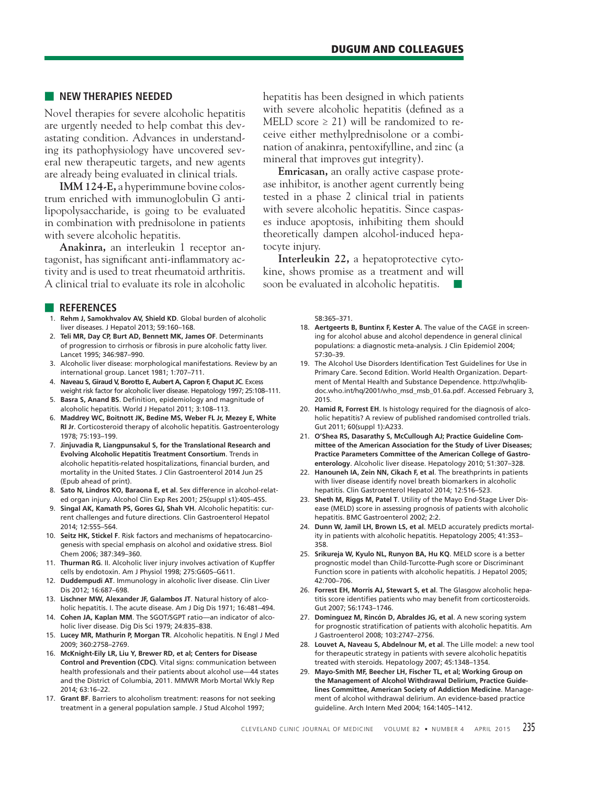# ■ **NEW THERAPIES NEEDED**

Novel therapies for severe alcoholic hepatitis are urgently needed to help combat this devastating condition. Advances in understanding its pathophysiology have uncovered several new therapeutic targets, and new agents are already being evaluated in clinical trials.

**IMM 124-E,** a hyperimmune bovine colostrum enriched with immunoglobulin G antilipopolysaccharide, is going to be evaluated in combination with prednisolone in patients with severe alcoholic hepatitis.

**Anakinra,** an interleukin 1 receptor antagonist, has significant anti-inflammatory activity and is used to treat rheumatoid arthritis. A clinical trial to evaluate its role in alcoholic

#### ■ **REFERENCES**

- 1. **Rehm J, Samokhvalov AV, Shield KD**. Global burden of alcoholic liver diseases. J Hepatol 2013; 59:160–168.
- 2. **Teli MR, Day CP, Burt AD, Bennett MK, James OF**. Determinants of progression to cirrhosis or fibrosis in pure alcoholic fatty liver. Lancet 1995; 346:987–990.
- 3. Alcoholic liver disease: morphological manifestations. Review by an international group. Lancet 1981; 1:707–711.
- 4. **Naveau S, Giraud V, Borotto E, Aubert A, Capron F, Chaput JC**. Excess weight risk factor for alcoholic liver disease. Hepatology 1997; 25:108–111.
- 5. Basra S, Anand BS. Definition, epidemiology and magnitude of alcoholic hepatitis. World J Hepatol 2011; 3:108–113.
- 6. **Maddrey WC, Boitnott JK, Bedine MS, Weber FL Jr, Mezey E, White RI Jr**. Corticosteroid therapy of alcoholic hepatitis. Gastroenterology 1978; 75:193–199.
- 7. **Jinjuvadia R, Liangpunsakul S, for the Translational Research and Evolving Alcoholic Hepatitis Treatment Consortium**. Trends in alcoholic hepatitis-related hospitalizations, financial burden, and mortality in the United States. J Clin Gastroenterol 2014 Jun 25 (Epub ahead of print).
- 8. **Sato N, Lindros KO, Baraona E, et al**. Sex difference in alcohol-related organ injury. Alcohol Clin Exp Res 2001; 25(suppl s1):40S–45S.
- 9. **Singal AK, Kamath PS, Gores GJ, Shah VH**. Alcoholic hepatitis: current challenges and future directions. Clin Gastroenterol Hepatol 2014; 12:555–564.
- 10. **Seitz HK, Stickel F**. Risk factors and mechanisms of hepatocarcinogenesis with special emphasis on alcohol and oxidative stress. Biol Chem 2006; 387:349–360.
- 11. **Thurman RG**. II. Alcoholic liver injury involves activation of Kupffer cells by endotoxin. Am J Physiol 1998; 275:G605–G611.
- 12. **Duddempudi AT**. Immunology in alcoholic liver disease. Clin Liver Dis 2012; 16:687–698.
- 13. **Lischner MW, Alexander JF, Galambos JT**. Natural history of alcoholic hepatitis. I. The acute disease. Am J Dig Dis 1971; 16:481–494.
- 14. **Cohen JA, Kaplan MM**. The SGOT/SGPT ratio—an indicator of alcoholic liver disease. Dig Dis Sci 1979; 24:835–838.
- 15. **Lucey MR, Mathurin P, Morgan TR**. Alcoholic hepatitis. N Engl J Med 2009; 360:2758–2769.
- 16. **McKnight-Eily LR, Liu Y, Brewer RD, et al; Centers for Disease Control and Prevention (CDC)**. Vital signs: communication between health professionals and their patients about alcohol use—44 states and the District of Columbia, 2011. MMWR Morb Mortal Wkly Rep 2014; 63:16–22.
- 17. **Grant BF**. Barriers to alcoholism treatment: reasons for not seeking treatment in a general population sample. J Stud Alcohol 1997;

hepatitis has been designed in which patients with severe alcoholic hepatitis (defined as a MELD score  $\geq$  21) will be randomized to receive either methylprednisolone or a combination of anakinra, pentoxifylline, and zinc (a mineral that improves gut integrity).

**Emricasan,** an orally active caspase protease inhibitor, is another agent currently being tested in a phase 2 clinical trial in patients with severe alcoholic hepatitis. Since caspases induce apoptosis, inhibiting them should theoretically dampen alcohol-induced hepatocyte injury.

**Interleukin 22,** a hepatoprotective cytokine, shows promise as a treatment and will soon be evaluated in alcoholic hepatitis.

58:365–371.

- 18. **Aertgeerts B, Buntinx F, Kester A**. The value of the CAGE in screening for alcohol abuse and alcohol dependence in general clinical populations: a diagnostic meta-analysis. J Clin Epidemiol 2004; 57:30–39.
- 19. The Alcohol Use Disorders Identification Test Guidelines for Use in Primary Care. Second Edition. World Health Organization. Department of Mental Health and Substance Dependence. http://whqlibdoc.who.int/hq/2001/who\_msd\_msb\_01.6a.pdf. Accessed February 3, 2015.
- 20. **Hamid R, Forrest EH**. Is histology required for the diagnosis of alcoholic hepatitis? A review of published randomised controlled trials. Gut 2011; 60(suppl 1):A233.
- 21. **O'Shea RS, Dasarathy S, McCullough AJ; Practice Guideline Committee of the American Association for the Study of Liver Diseases; Practice Parameters Committee of the American College of Gastroenterology**. Alcoholic liver disease. Hepatology 2010; 51:307–328.
- 22. **Hanouneh IA, Zein NN, Cikach F, et al**. The breathprints in patients with liver disease identify novel breath biomarkers in alcoholic hepatitis. Clin Gastroenterol Hepatol 2014; 12:516–523.
- 23. **Sheth M, Riggs M, Patel T**. Utility of the Mayo End-Stage Liver Disease (MELD) score in assessing prognosis of patients with alcoholic hepatitis. BMC Gastroenterol 2002; 2:2.
- 24. **Dunn W, Jamil LH, Brown LS, et al**. MELD accurately predicts mortality in patients with alcoholic hepatitis. Hepatology 2005; 41:353– 358.
- 25. **Srikureja W, Kyulo NL, Runyon BA, Hu KQ**. MELD score is a better prognostic model than Child-Turcotte-Pugh score or Discriminant Function score in patients with alcoholic hepatitis. J Hepatol 2005; 42:700–706.
- 26. **Forrest EH, Morris AJ, Stewart S, et al**. The Glasgow alcoholic hepatitis score identifies patients who may benefit from corticosteroids. Gut 2007; 56:1743–1746.
- 27. **Dominguez M, Rincón D, Abraldes JG, et al**. A new scoring system for prognostic stratification of patients with alcoholic hepatitis. Am J Gastroenterol 2008; 103:2747–2756.
- 28. **Louvet A, Naveau S, Abdelnour M, et al**. The Lille model: a new tool for therapeutic strategy in patients with severe alcoholic hepatitis treated with steroids. Hepatology 2007; 45:1348–1354.
- 29. **Mayo-Smith MF, Beecher LH, Fischer TL, et al; Working Group on the Management of Alcohol Withdrawal Delirium, Practice Guidelines Committee, American Society of Addiction Medicine**. Management of alcohol withdrawal delirium. An evidence-based practice guideline. Arch Intern Med 2004; 164:1405–1412.